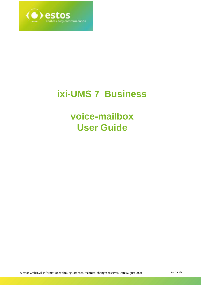

# **ixi-UMS 7 Business**

# **voice-mailbox User Guide**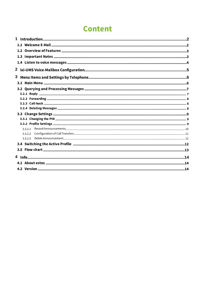# **Content**

| 1       |  |
|---------|--|
|         |  |
|         |  |
|         |  |
|         |  |
|         |  |
|         |  |
| 3       |  |
|         |  |
|         |  |
|         |  |
|         |  |
|         |  |
|         |  |
|         |  |
|         |  |
| 3321    |  |
| 3.3.2.2 |  |
| 3.3.2.3 |  |
|         |  |
|         |  |
|         |  |
|         |  |
|         |  |
|         |  |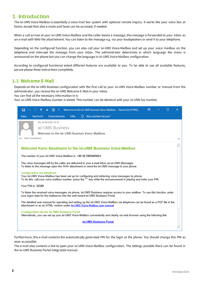## <span id="page-2-0"></span>**1 Introduction**

The ixi-UMS Voice-Mailbox is essentially a voice mail box system with optional remote inquiry. It works like your voice box at home, except that also e-mails and faxes can be accessed, if needed.

When a call arrives at your ixi-UMS Voice-Mailbox and the caller leaves a message, this message is forwarded to your inbox as an e-mail with WAV-file attachement. You can listen to the message e.g. via your loudspeakers or send it to your telephone.

Depending on the configured function, you can also call your ixi-UMS Voice-Mailbox and set up your voice mailbox on the telephone and intercept the message from your inbox. The administrator determines in which language the menu is announced on the phone but you can change the language in ixi-UMS Voice-Mailbox configuration.

According to configured functional extent different features are available to you. To be able to use all available features, peruse please these instructions completely.

### <span id="page-2-1"></span>**1.1 Welcome E-Mail**

Depends on the ixi-UMS Business configuration with the first call to your ixi-UMS Voice-Mailbox number or manuel from the administrator, you receive the ixi-UMS Welcome E-Mail in your inbox.

You can find all the necessary information in it.

Your ixi-UMS Voice-Mailbox number is stated. This number can be identical with your ixi-UMS fax number.



Furthermore, this e-mail contains the automatically generated PIN for the login at the phone. You should change this PIN as soon as possible.

The e-mail also contains a link to open your ixi-UMS Voice-Mailbox configuration. The settings possible there can be found in the ixi-UMS Business Portal integrated manual.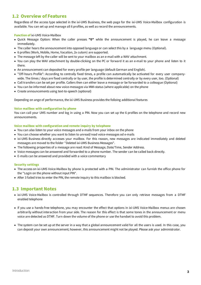## <span id="page-3-0"></span>**1.2 Overview of Features**

Regardless of the access type selected in the ixi-UMS Business, the web page for the ixi-UMS Voice-Mailbox configuration is available. You can set up and manage all 6 profiles, as well as record the announcements.

#### **Function of** ixi-UMS Voice-Mailbox

- · Quick Message Option: When the caller presses **"0"** while the announcement is played, he can leave a message immediately.
- · The caller hears the announcement into opposed language or can select this by a language menu (Optional).
- · 6 profiles (Work, Mobile, Home, Vacation, 2x cutom) are supported.
- The message left by the caller will be sent to your mailbox as an e-mail with a WAV attachment.
- · You can play the WAV attachment by double-clicking on the PC or forward it as an e-mail to your phone and listen to it there.
- · An announcement can deposited for every profile per language (default German and English).
- · "Off-hours Profile": According to centrally fixed times, a profile can automatically be activated for every user companywide. The times / days are fixed centrally or by user, the profile is determined centrally or by every user, too. (Optional)
- Call transfers can be set per profile. Callers then can either leave a message or be forwarded to a colleague (Optional)
- You can be informed about new voice-messages via MWI-status (where applicable) on the phone
- · Create announcements using text-to-speech (optional)

Depending on ange of performance, the ixi-UMS Business provides the folloing additional features

#### **Voice mailbox with configuration by phone**

You can call your UMS number and log in using a PIN. Now you can set up the 6 profiles on the telephone and record new announcements.

#### **Voice mailbox with configuration and remote inquiry by telephone**

- You can also listen to your voice messages and e-mails from your inbox on the phone
- · You can choose whether you want to listen to unread/read voice-messages od e-mails
- · ixi-UMS Business directly accesses your mailbox. For this reason, new messages are indicated immediately and deleted messages are moved to the folder "Deleted ixi-UMS Business Messages".
- · The following properties of a message are read: Kind of Message, Date/Time, Sender Address.
- · Voice messages can be answered and forwarded to a phone number. The sender can be called back directly.
- · E-mails can be answered and provided with a voice commentary

#### **Security settings**

- The access on ixi-UMS Voice-Mailbox by phone is protected with a PIN. The administrator can furnish the office phone for the "Login on the phone without input PIN".
- After 3 failed tries to enter the PIN, the remote inquiry to this mailbox is blocked.

## <span id="page-3-1"></span>**1.3 Important Notes**

- · ixi-UMS Voice-Mailbox is controlled through DTMF sequences. Therefore you can only retrieve messages from a DTMF enabled telephone
- · If you use a hands-free telephone, you may encounter the effect that options in ixi-UMS Voice-Mailbox menus are chosen arbitrarily without interaction from your side. The reason for this effect is that some tones in the announcement or menu voice are detected as DTMF. Turn down the volume of the phone or use the handset to avoid this problem.
- · The system can be set up at the server in a way that a global announcement valid for all the users is used. In this case, you can deposit your own announcement; however, this announcement might not be played. Please ask your administrator.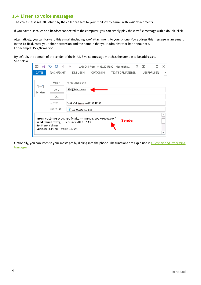## <span id="page-4-0"></span>**1.4 Listen to voice messages**

The voice messages left behind by the caller are sent to your mailbox by e-mail with WAV attachments.

If you have a speaker or a headset connected to the computer, you can simply play the Wav file message with a double-click.

Alternatively, you can forward this e-mail (including WAV attachment) to your phone. You address this message as an e-mail. In the To-field, enter your phone extension and the domain that your administrator has announced. For example: 456@firma.voc

By default, the domain of the sender of the ixi-UMS voice-message matches the domain to be addressed. See below:

| 카드박<br>456@ixivoc.com<br>An<br>Senden<br>$C_{\text{C}}$<br>Betreff<br>WG: Call from +49814247990<br>Angefügt<br>Voice.wav (52 KB) | $\forall$ on $\star$ | Karin Sandmann |  |  |
|-----------------------------------------------------------------------------------------------------------------------------------|----------------------|----------------|--|--|
|                                                                                                                                   |                      |                |  |  |
|                                                                                                                                   |                      |                |  |  |
|                                                                                                                                   |                      |                |  |  |

Optionally, you can listen to your messages by dialing into the phone. The functions are explained in **Querying and [Processing](#page-7-0)** [Messages.](#page-7-0)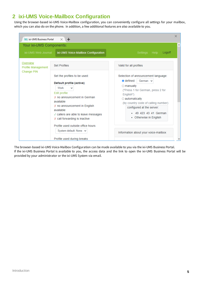# <span id="page-5-0"></span>**2 ixi-UMS Voice-Mailbox Configuration**

Using the browser-based ixi-UMS Voice-Mailbox configuration, you can conveniently configure all settings for your mailbox, which you can also do on the phone. In addition, a few additional features are also available to you.

| <b>XI</b> ixi-UMS Business Portal                          | $\times$ +                                                                                                                                                                                                                                                                                                        | ×                                                                                                                                                                                                                                                                                        |
|------------------------------------------------------------|-------------------------------------------------------------------------------------------------------------------------------------------------------------------------------------------------------------------------------------------------------------------------------------------------------------------|------------------------------------------------------------------------------------------------------------------------------------------------------------------------------------------------------------------------------------------------------------------------------------------|
| Your ixi-UMS Components:                                   |                                                                                                                                                                                                                                                                                                                   |                                                                                                                                                                                                                                                                                          |
| ixi-UMS Web Journal                                        | ixi-UMS Voice-Mailbox Configuration                                                                                                                                                                                                                                                                               | Logoff<br>Settings<br>Help                                                                                                                                                                                                                                                               |
| Overview<br><b>Profile Management</b><br><b>Change PIN</b> | <b>Set Profiles</b>                                                                                                                                                                                                                                                                                               | Valid for all profiles                                                                                                                                                                                                                                                                   |
|                                                            | Set the profiles to be used:<br>Default profile (active)<br>Work<br>$\checkmark$<br>Edit profile<br>X no announcement in German<br>available<br>X no announcement in English<br>available<br>$\sqrt{\ }$ callers are able to leave messages<br>X call forwarding is inactive<br>Profile used outside office hours | Selection of announcement language:<br>o defined:<br>German $\sim$<br>$\circ$ manually<br>("Press 1 for German, press 2 for<br>English")<br>$\circ$ automatically<br>(by country code of calling number)<br>configured at the server:<br>• 49 423 43 41 German<br>• Otherwise in English |
|                                                            | System default: None $\vee$<br>Profile used during breaks                                                                                                                                                                                                                                                         | Information about your voice-mailbox                                                                                                                                                                                                                                                     |

The browser-based ixi-UMS Voice-Mailbox Configuration can be made available to you via the ixi-UMS Business Portal. If the ixi-UMS Business Portal is available to you, the access data and the link to open the ixi-UMS Business Portal will be provided by your administrator or the ixi-UMS System via email.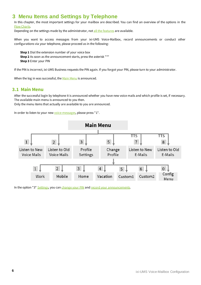# <span id="page-6-0"></span>**3 Menu Items and Settings by Telephone**

In this chapter, the most important settings for your mailbox are described. You can find an overview of the options in the Flow [Charts](#page-13-0).

Depending on the settings made by the administrator, not all the [features](#page-3-0) are available.

When you want to access messages from your ixi-UMS Voice-Mailbox, record announcements or conduct other configurations via your telephone, please proceed as in the following:

**Step 1** Dial the extension number of your voice box **Step 2** As soon as the announcement starts, press the asterisk "\*" **Step 3** Enter your PIN

If the PIN is incorrect, ixi-UMS Business requests the PIN again. If you forgot your PIN, please turn to your administrator.

When the log in was successful, the Main [Menu](#page-6-1) is announced.

#### <span id="page-6-1"></span>**3.1 Main Menu**

After the successful login by telephone it is announced whether you have new voice mails and which profile is set, if necessary. The available main menu is announced to you then.

Only the menu items that actually are available to you are announced.

In order to listen to your new [voice-messages,](#page-7-0) please press "1".



In the option "3" [Settings](#page-9-0), you can [change](#page-9-1) your PIN and record your [announcements.](#page-10-0)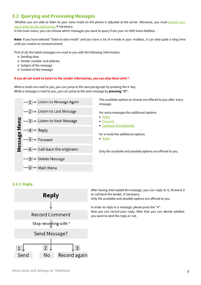## <span id="page-7-0"></span>**3.2 Querying and Processing Messages**

Whether you are able to listen to your voice mails on the phone is adjusted at the server. Moreover, you must [deposit](#page-2-1) your log-in data for the mail [server,](#page-2-1) if necessary.

In the main menu, you can choose which messages you want to query from your ixi-UMS Voice-Mailbox.

**Note**: If you have selected "listen to old e-mails" and you have a lot of e-mails in your mailbox, it can take quite a long time until you receive an announcement.

First of all, the latest messages are read to you with the following information:

- o Sending date
- o Sender number and address
- o Subject of the message
- o Content of the message

#### **If you do not want to listen to the sender information, you can skip them with \*.**

When e-mails are read to you, you can jump to the next paragraph by pressing the #- key. While a message is read to you, you can jump to the next message by **pressing "3".**



The available options to choose are offered to you after every message.

For voice messages the additional options:

- · [Reply](#page-7-1)
- [Forward](#page-8-0)
- Call back the [originator](#page-8-1)

for e-mails the additional options:

· [Reply](#page-7-1)

Only the available and possible options are offered to you.

#### <span id="page-7-1"></span>**3.2.1 Reply**



After having intercepted the message, you can reply to it, forward it or call back the sender, if necessary. Only the available and possible options are offered to you.

In order to reply to a message, please press the "4". Now you can record your reply. After that you can decide whether you want to send the reply or not.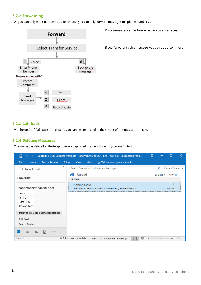#### <span id="page-8-0"></span>**3.2.2 Forwarding**

As you can only enter numbers at a telephone, you can only forward messages to "phone numbers".



Voice messages can be forwarded as voice messages.

If you forward a voice message, you can add a comment.

#### <span id="page-8-1"></span>**3.2.3 Call-back**

Via the option "Call back the sender", you can be connected to the sender of this message directly.

#### <span id="page-8-2"></span>**3.2.4 Deleting Messages**

The messages deleted at the telephone are deposited in a new folder in your mail client.

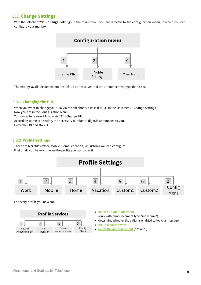## <span id="page-9-0"></span>**3.3 Change Settings**

With the selection **"3" - Change Settings** in the main menu, you are directed to the configuration menu, in which you can configure your mailbox.



The settings available depend on the default at the server and the announcement type that is set.

#### <span id="page-9-1"></span>**3.3.1 Changing the PIN**

When you want to change your PIN via the telephone, please dial "3" in the Main Menu - Change Settings. Now you are in the Configuration Menu.

You can enter a new PIN now via "1" - Change PIN.

According to the pre-setting, the necessary number of digits is announced to you. Enter the PIN and store it.

#### <span id="page-9-2"></span>**3.3.2 Profile Settings**

There are 6 profiles (Work, Mobile, Home, Vacation, 2x Custom) you can configure. First of all, you have to choose the profile you want to edit.



|                        |                  | <b>Profile Services</b> |                |  |
|------------------------|------------------|-------------------------|----------------|--|
|                        | ∍                | っ                       |                |  |
| Record<br>Announcement | Call<br>Transfer | Delete<br>Announcement  | Config<br>Menu |  |

| • deposit an announcement                  |
|--------------------------------------------|
| (only with announcement type "individual") |
|                                            |

- determine whether the caller is enabled to leave a message
- set up a call [transfer](#page-11-0)
- delete the [announcement](#page-12-0) (optional)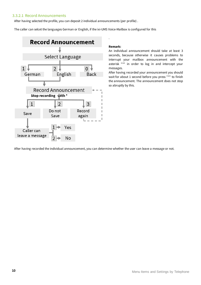#### <span id="page-10-0"></span>3.3.2.1 Record Announcements

After having selected the profile, you can deposit 2 individual announcements (per profile) .

The caller can selcet the languages German or English, if the ixi-UMS Voice-Mailbox is configured for this



#### **Remark:**

.

An individual announcement should take at least 3 seconds, because otherwise it causes problems to interrupt your mailbox announcement with the asterisk "\*" in order to log in and intercept your messages.

After having recorded your announcement you should wait for about 1 second before you press "\*" to finish the announcement. The announcement does not stop so abruptly by this.

After having recorded the individual announcement, you can determine whether the user can leave a message or not.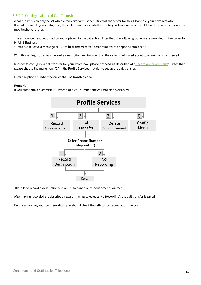### <span id="page-11-0"></span>3.3.2.2 Configuration of Call Transfers

A call transfer can only be set when a few criteria must be fulfilled at the server for this. Please ask your administrator. If a call forwarding is configured, the caller can decide whether he to you leave news or would like to join, e. g. , on your mobile phone further.

The announcement deposited by you is played to the caller first. After that, the following options are provided to the caller by ixi-UMS Business :

"Press "1" to leave a message or "2" to be transferred to <description text> or <phone number>."

With this setting, you should record a description text in order that the caller is informed about to whom he is transferred.

In order to configure a call transfer for your voice box, please proceed as described at "Record [Announcements](#page-10-0)". After that, please choose the menu item "2" in the Profile Services in order to set up the call transfer.

Enter the phone number the caller shall be transferred to.

#### **Remark**:

If you enter only an asterisk "\*" instead of a call number, the call transfer is disabled.



Dial "1" to record a description text or "2" to continue without description text.

After having recorded the description text or having selected 2 (No Recording), the call transfer is saved.

Before activating your configuration, you should check the settings by calling your mailbox.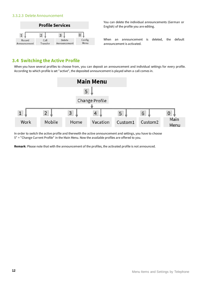#### <span id="page-12-0"></span>3.3.2.3 Delete Announcement



You can delete the individual announcements (German or English) of the profile you are editing.

When an announcement is deleted, the default announcement is activated.

## <span id="page-12-1"></span>**3.4 Switching the Active Profile**

When you have several profiles to choose from, you can deposit an announcement and individual settings for every profile. According to which profile is set "active", the deposited announcement is played when a call comes in.



In order to switch the active profile and therewith the active announcement and settings, you have to choose 5" = "Change Current Profile" in the Main Menu. Now the available profiles are offered to you.

**Remark**: Please note that with the announcement of the profiles, the activated profile is not announced.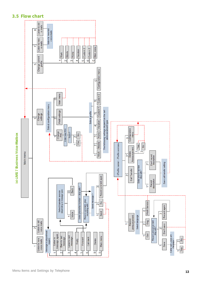

## <span id="page-13-0"></span>**3.5 Flow chart**